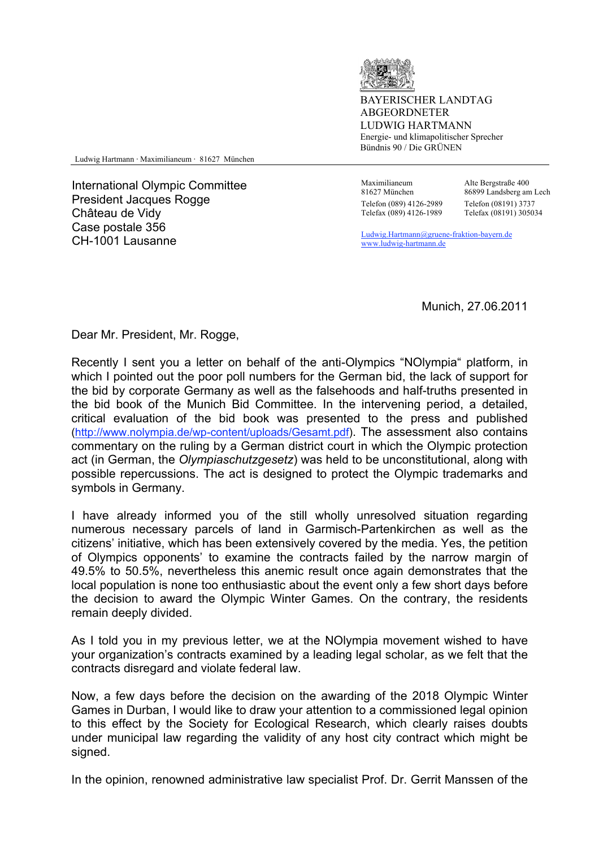

BAYERISCHER LANDTAG ABGEORDNETER LUDWIG HARTMANN Energie- und klimapolitischer Sprecher Bündnis 90 / Die GRÜNEN

Ludwig Hartmann ⋅ Maximilianeum ⋅ 81627 München

International Olympic Committee President Jacques Rogge Château de Vidy Case postale 356 CH-1001 Lausanne<br>CH-1001 Lausanne Ludwig.Hartmann@gruene-fraktion-bayern.de

 Maximilianeum 81627 München Telefon (089) 4126-2989 Telefax (089) 4126-1989

Alte Bergstraße 400 86899 Landsberg am Lech Telefon (08191) 3737 Telefax (08191) 305034

www.ludwig-hartmann.de

Munich, 27.06.2011

Dear Mr. President, Mr. Rogge,

Recently I sent you a letter on behalf of the anti-Olympics "NOlympia" platform, in which I pointed out the poor poll numbers for the German bid, the lack of support for the bid by corporate Germany as well as the falsehoods and half-truths presented in the bid book of the Munich Bid Committee. In the intervening period, a detailed, critical evaluation of the bid book was presented to the press and published (http://www.nolympia.de/wp-content/uploads/Gesamt.pdf). The assessment also contains commentary on the ruling by a German district court in which the Olympic protection act (in German, the *Olympiaschutzgesetz*) was held to be unconstitutional, along with possible repercussions. The act is designed to protect the Olympic trademarks and symbols in Germany.

I have already informed you of the still wholly unresolved situation regarding numerous necessary parcels of land in Garmisch-Partenkirchen as well as the citizens' initiative, which has been extensively covered by the media. Yes, the petition of Olympics opponents' to examine the contracts failed by the narrow margin of 49.5% to 50.5%, nevertheless this anemic result once again demonstrates that the local population is none too enthusiastic about the event only a few short days before the decision to award the Olympic Winter Games. On the contrary, the residents remain deeply divided.

As I told you in my previous letter, we at the NOlympia movement wished to have your organization's contracts examined by a leading legal scholar, as we felt that the contracts disregard and violate federal law.

Now, a few days before the decision on the awarding of the 2018 Olympic Winter Games in Durban, I would like to draw your attention to a commissioned legal opinion to this effect by the Society for Ecological Research, which clearly raises doubts under municipal law regarding the validity of any host city contract which might be signed.

In the opinion, renowned administrative law specialist Prof. Dr. Gerrit Manssen of the